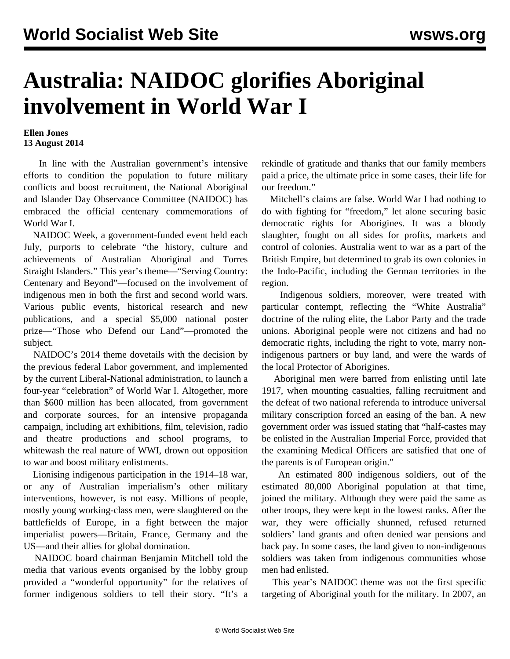## **Australia: NAIDOC glorifies Aboriginal involvement in World War I**

## **Ellen Jones 13 August 2014**

 In line with the Australian government's intensive efforts to condition the population to future military conflicts and boost recruitment, the National Aboriginal and Islander Day Observance Committee (NAIDOC) has embraced the official centenary commemorations of World War I.

 NAIDOC Week, a government-funded event held each July, purports to celebrate "the history, culture and achievements of Australian Aboriginal and Torres Straight Islanders." This year's theme—"Serving Country: Centenary and Beyond"—focused on the involvement of indigenous men in both the first and second world wars. Various public events, historical research and new publications, and a special \$5,000 national poster prize—"Those who Defend our Land"—promoted the subject.

 NAIDOC's 2014 theme dovetails with the decision by the previous federal Labor government, and implemented by the current Liberal-National administration, to launch a four-year "celebration" of World War I. Altogether, more than \$600 million has been allocated, from government and corporate sources, for an intensive propaganda campaign, including art exhibitions, film, television, radio and theatre productions and school programs, to whitewash the real nature of WWI, drown out opposition to war and boost military enlistments.

 Lionising indigenous participation in the 1914–18 war, or any of Australian imperialism's other military interventions, however, is not easy. Millions of people, mostly young working-class men, were slaughtered on the battlefields of Europe, in a fight between the major imperialist powers—Britain, France, Germany and the US—and their allies for global domination.

 NAIDOC board chairman Benjamin Mitchell told the media that various events organised by the lobby group provided a "wonderful opportunity" for the relatives of former indigenous soldiers to tell their story. "It's a

rekindle of gratitude and thanks that our family members paid a price, the ultimate price in some cases, their life for our freedom."

 Mitchell's claims are false. World War I had nothing to do with fighting for "freedom," let alone securing basic democratic rights for Aborigines. It was a bloody slaughter, fought on all sides for profits, markets and control of colonies. Australia went to war as a part of the British Empire, but determined to grab its own colonies in the Indo-Pacific, including the German territories in the region.

 Indigenous soldiers, moreover, were treated with particular contempt, reflecting the "White Australia" doctrine of the ruling elite, the Labor Party and the trade unions. Aboriginal people were not citizens and had no democratic rights, including the right to vote, marry nonindigenous partners or buy land, and were the wards of the local Protector of Aborigines.

 Aboriginal men were barred from enlisting until late 1917, when mounting casualties, falling recruitment and the defeat of two national referenda to introduce universal military conscription forced an easing of the ban. A new government order was issued stating that "half-castes may be enlisted in the Australian Imperial Force, provided that the examining Medical Officers are satisfied that one of the parents is of European origin."

 An estimated 800 indigenous soldiers, out of the estimated 80,000 Aboriginal population at that time, joined the military. Although they were paid the same as other troops, they were kept in the lowest ranks. After the war, they were officially shunned, refused returned soldiers' land grants and often denied war pensions and back pay. In some cases, the land given to non-indigenous soldiers was taken from indigenous communities whose men had enlisted.

 This year's NAIDOC theme was not the first specific targeting of Aboriginal youth for the military. In 2007, an